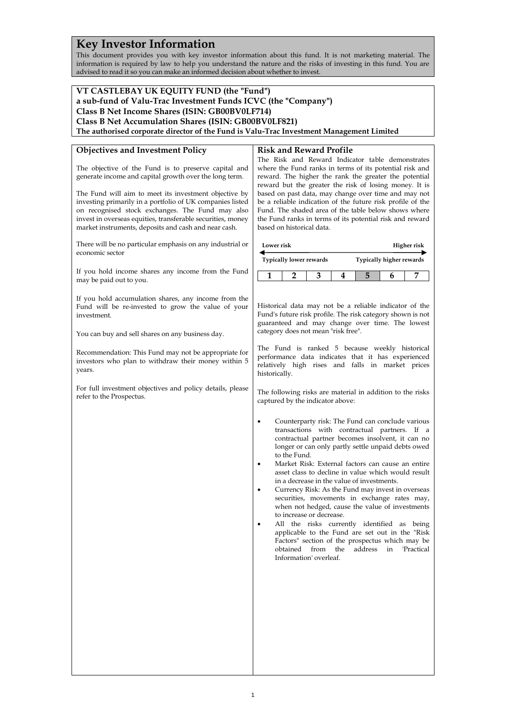# **Key Investor Information**

This document provides you with key investor information about this fund. It is not marketing material. The information is required by law to help you understand the nature and the risks of investing in this fund. You are advised to read it so you can make an informed decision about whether to invest.

#### **VT CASTLEBAY UK EQUITY FUND (the "Fund") a sub-fund of Valu-Trac Investment Funds ICVC (the "Company") Class B Net Income Shares (ISIN: GB00BV0LF714) Class B Net Accumulation Shares (ISIN: GB00BV0LF821) The authorised corporate director of the Fund is Valu-Trac Investment Management Limited Objectives and Investment Policy** The objective of the Fund is to preserve capital and generate income and capital growth over the long term. The Fund will aim to meet its investment objective by investing primarily in a portfolio of UK companies listed on recognised stock exchanges. The Fund may also invest in overseas equities, transferable securities, money market instruments, deposits and cash and near cash. There will be no particular emphasis on any industrial or economic sector If you hold income shares any income from the Fund may be paid out to you. If you hold accumulation shares, any income from the Fund will be re-invested to grow the value of your investment. You can buy and sell shares on any business day. Recommendation: This Fund may not be appropriate for investors who plan to withdraw their money within 5 years. For full investment objectives and policy details, please refer to the Prospectus. **Risk and Reward Profile** The Risk and Reward Indicator table demonstrates where the Fund ranks in terms of its potential risk and reward. The higher the rank the greater the potential reward but the greater the risk of losing money. It is based on past data, may change over time and may not be a reliable indication of the future risk profile of the Fund. The shaded area of the table below shows where the Fund ranks in terms of its potential risk and reward based on historical data. **Lower risk Typically lower rewards Higher risk Typically higher rewards 1 2 3 4 5 6 7** Historical data may not be a reliable indicator of the Fund's future risk profile. The risk category shown is not guaranteed and may change over time. The lowest category does not mean "risk free". The Fund is ranked 5 because weekly historical performance data indicates that it has experienced relatively high rises and falls in market prices historically. The following risks are material in addition to the risks captured by the indicator above: • Counterparty risk: The Fund can conclude various transactions with contractual partners. If a contractual partner becomes insolvent, it can no longer or can only partly settle unpaid debts owed to the Fund. • Market Risk: External factors can cause an entire asset class to decline in value which would result in a decrease in the value of investments. • Currency Risk: As the Fund may invest in overseas securities, movements in exchange rates may, when not hedged, cause the value of investments to increase or decrease. All the risks currently identified as being applicable to the Fund are set out in the "Risk Factors" section of the prospectus which may be obtained from the address in 'Practical Information' overleaf.